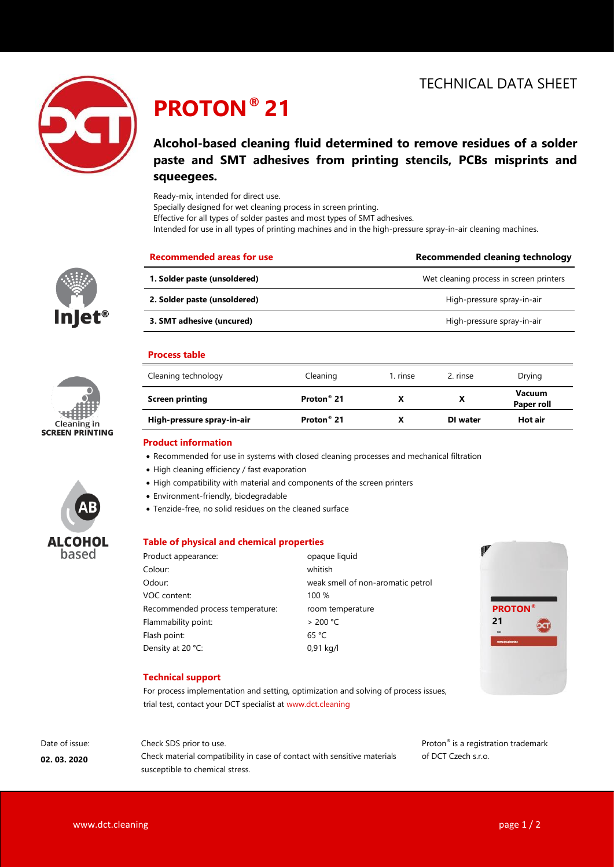

# **PROTON® 21**

# **Alcohol-based cleaning fluid determined to remove residues of a solder paste and SMT adhesives from printing stencils, PCBs misprints and squeegees.**

Ready-mix, intended for direct use.

Specially designed for wet cleaning process in screen printing.

Effective for all types of solder pastes and most types of SMT adhesives.

Intended for use in all types of printing machines and in the high-pressure spray-in-air cleaning machines.

| ®<br>Inj<br>e |
|---------------|





| <b>Recommended areas for use</b> | Recommended cleaning technology         |
|----------------------------------|-----------------------------------------|
| 1. Solder paste (unsoldered)     | Wet cleaning process in screen printers |
| 2. Solder paste (unsoldered)     | High-pressure spray-in-air              |
| 3. SMT adhesive (uncured)        | High-pressure spray-in-air              |
|                                  |                                         |

## **Process table**

| Cleaning technology        | Cleaning                    | 1. rinse | 2. rinse | Drying                      |  |
|----------------------------|-----------------------------|----------|----------|-----------------------------|--|
| <b>Screen printing</b>     | Proton <sup>®</sup> 21<br>х |          |          | <b>Vacuum</b><br>Paper roll |  |
| High-pressure spray-in-air | Proton <sup>®</sup> 21      | х        | DI water | Hot air                     |  |

### **Product information**

- Recommended for use in systems with closed cleaning processes and mechanical filtration
- High cleaning efficiency / fast evaporation
- High compatibility with material and components of the screen printers
- Environment-friendly, biodegradable
- Tenzide-free, no solid residues on the cleaned surface

### **Table of physical and chemical properties**

| Product appearance:              | opaque liquid                     |
|----------------------------------|-----------------------------------|
| Colour:                          | whitish                           |
| Odour:                           | weak smell of non-aromatic petrol |
| VOC content:                     | 100%                              |
| Recommended process temperature: | room temperature                  |
| Flammability point:              | > 200 °C                          |
| Flash point:                     | 65 °C                             |
| Density at 20 °C:                | $0,91$ kg/l                       |



## **Technical support**

For process implementation and setting, optimization and solving of process issues, trial test, contact your DCT specialist at www.dct.cleaning

# Date of issue:

**02. 03. 2020**

Check SDS prior to use. Check material compatibility in case of contact with sensitive materials susceptible to chemical stress.

Proton® is a registration trademark of DCT Czech s.r.o.